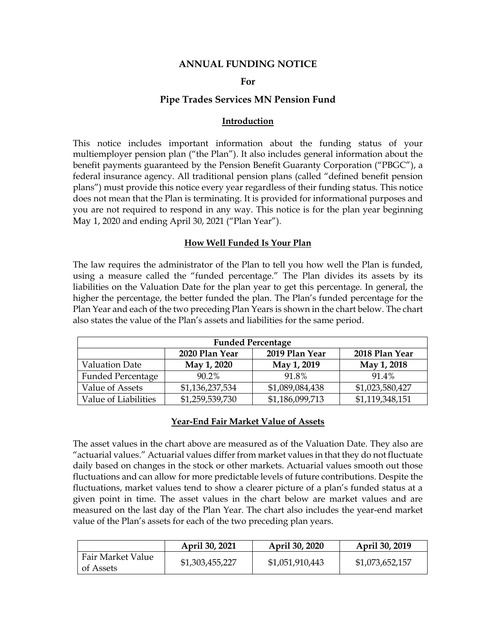#### **ANNUAL FUNDING NOTICE**

#### **For**

### **Pipe Trades Services MN Pension Fund**

#### **Introduction**

This notice includes important information about the funding status of your multiemployer pension plan ("the Plan"). It also includes general information about the benefit payments guaranteed by the Pension Benefit Guaranty Corporation ("PBGC"), a federal insurance agency. All traditional pension plans (called "defined benefit pension plans") must provide this notice every year regardless of their funding status. This notice does not mean that the Plan is terminating. It is provided for informational purposes and you are not required to respond in any way. This notice is for the plan year beginning May 1, 2020 and ending April 30, 2021 ("Plan Year").

## **How Well Funded Is Your Plan**

The law requires the administrator of the Plan to tell you how well the Plan is funded, using a measure called the "funded percentage." The Plan divides its assets by its liabilities on the Valuation Date for the plan year to get this percentage. In general, the higher the percentage, the better funded the plan. The Plan's funded percentage for the Plan Year and each of the two preceding Plan Years is shown in the chart below. The chart also states the value of the Plan's assets and liabilities for the same period.

| <b>Funded Percentage</b> |                 |                 |                 |  |
|--------------------------|-----------------|-----------------|-----------------|--|
|                          | 2020 Plan Year  | 2019 Plan Year  | 2018 Plan Year  |  |
| <b>Valuation Date</b>    | May 1, 2020     | May 1, 2019     | May 1, 2018     |  |
| <b>Funded Percentage</b> | 90.2%           | 91.8%           | 91.4%           |  |
| Value of Assets          | \$1,136,237,534 | \$1,089,084,438 | \$1,023,580,427 |  |
| Value of Liabilities     | \$1,259,539,730 | \$1,186,099,713 | \$1,119,348,151 |  |

#### **Year-End Fair Market Value of Assets**

The asset values in the chart above are measured as of the Valuation Date. They also are "actuarial values." Actuarial values differ from market values in that they do not fluctuate daily based on changes in the stock or other markets. Actuarial values smooth out those fluctuations and can allow for more predictable levels of future contributions. Despite the fluctuations, market values tend to show a clearer picture of a plan's funded status at a given point in time. The asset values in the chart below are market values and are measured on the last day of the Plan Year. The chart also includes the year-end market value of the Plan's assets for each of the two preceding plan years.

|                                | April 30, 2021  | April 30, 2020  | April 30, 2019  |
|--------------------------------|-----------------|-----------------|-----------------|
| Fair Market Value<br>of Assets | \$1,303,455,227 | \$1,051,910,443 | \$1,073,652,157 |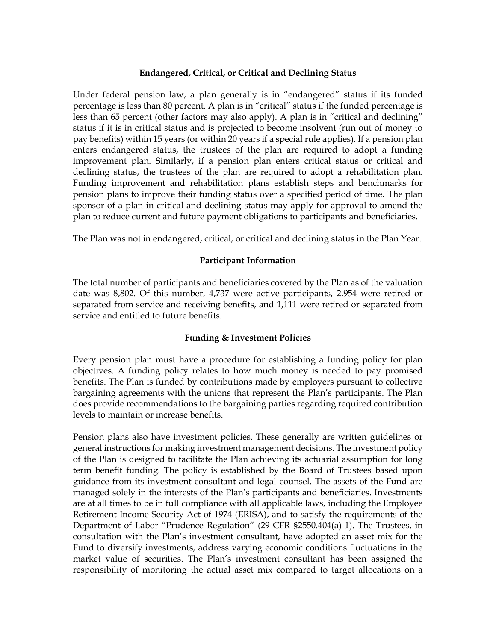#### **Endangered, Critical, or Critical and Declining Status**

Under federal pension law, a plan generally is in "endangered" status if its funded percentage is less than 80 percent. A plan is in "critical" status if the funded percentage is less than 65 percent (other factors may also apply). A plan is in "critical and declining" status if it is in critical status and is projected to become insolvent (run out of money to pay benefits) within 15 years (or within 20 years if a special rule applies). If a pension plan enters endangered status, the trustees of the plan are required to adopt a funding improvement plan. Similarly, if a pension plan enters critical status or critical and declining status, the trustees of the plan are required to adopt a rehabilitation plan. Funding improvement and rehabilitation plans establish steps and benchmarks for pension plans to improve their funding status over a specified period of time. The plan sponsor of a plan in critical and declining status may apply for approval to amend the plan to reduce current and future payment obligations to participants and beneficiaries.

The Plan was not in endangered, critical, or critical and declining status in the Plan Year.

## **Participant Information**

The total number of participants and beneficiaries covered by the Plan as of the valuation date was 8,802. Of this number, 4,737 were active participants, 2,954 were retired or separated from service and receiving benefits, and 1,111 were retired or separated from service and entitled to future benefits.

# **Funding & Investment Policies**

Every pension plan must have a procedure for establishing a funding policy for plan objectives. A funding policy relates to how much money is needed to pay promised benefits. The Plan is funded by contributions made by employers pursuant to collective bargaining agreements with the unions that represent the Plan's participants. The Plan does provide recommendations to the bargaining parties regarding required contribution levels to maintain or increase benefits.

Pension plans also have investment policies. These generally are written guidelines or general instructions for making investment management decisions. The investment policy of the Plan is designed to facilitate the Plan achieving its actuarial assumption for long term benefit funding. The policy is established by the Board of Trustees based upon guidance from its investment consultant and legal counsel. The assets of the Fund are managed solely in the interests of the Plan's participants and beneficiaries. Investments are at all times to be in full compliance with all applicable laws, including the Employee Retirement Income Security Act of 1974 (ERISA), and to satisfy the requirements of the Department of Labor "Prudence Regulation" (29 CFR §2550.404(a)-1). The Trustees, in consultation with the Plan's investment consultant, have adopted an asset mix for the Fund to diversify investments, address varying economic conditions fluctuations in the market value of securities. The Plan's investment consultant has been assigned the responsibility of monitoring the actual asset mix compared to target allocations on a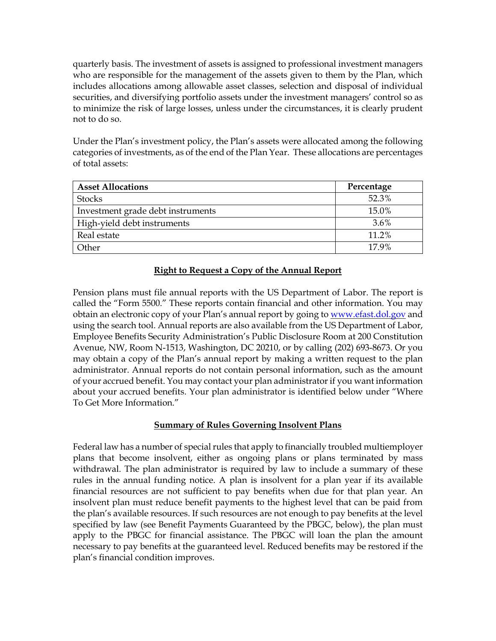quarterly basis. The investment of assets is assigned to professional investment managers who are responsible for the management of the assets given to them by the Plan, which includes allocations among allowable asset classes, selection and disposal of individual securities, and diversifying portfolio assets under the investment managers' control so as to minimize the risk of large losses, unless under the circumstances, it is clearly prudent not to do so.

Under the Plan's investment policy, the Plan's assets were allocated among the following categories of investments, as of the end of the Plan Year. These allocations are percentages of total assets:

| <b>Asset Allocations</b>          | Percentage |
|-----------------------------------|------------|
| <b>Stocks</b>                     | 52.3%      |
| Investment grade debt instruments | 15.0%      |
| High-yield debt instruments       | $3.6\%$    |
| Real estate                       | 11.2%      |
| Other                             | 179%       |

# **Right to Request a Copy of the Annual Report**

Pension plans must file annual reports with the US Department of Labor. The report is called the "Form 5500." These reports contain financial and other information. You may obtain an electronic copy of your Plan's annual report by going to [www.efast.dol.gov](http://www.efast.dol.gov/) and using the search tool. Annual reports are also available from the US Department of Labor, Employee Benefits Security Administration's Public Disclosure Room at 200 Constitution Avenue, NW, Room N-1513, Washington, DC 20210, or by calling (202) 693-8673. Or you may obtain a copy of the Plan's annual report by making a written request to the plan administrator. Annual reports do not contain personal information, such as the amount of your accrued benefit. You may contact your plan administrator if you want information about your accrued benefits. Your plan administrator is identified below under "Where To Get More Information."

# **Summary of Rules Governing Insolvent Plans**

Federal law has a number of special rules that apply to financially troubled multiemployer plans that become insolvent, either as ongoing plans or plans terminated by mass withdrawal. The plan administrator is required by law to include a summary of these rules in the annual funding notice. A plan is insolvent for a plan year if its available financial resources are not sufficient to pay benefits when due for that plan year. An insolvent plan must reduce benefit payments to the highest level that can be paid from the plan's available resources. If such resources are not enough to pay benefits at the level specified by law (see Benefit Payments Guaranteed by the PBGC, below), the plan must apply to the PBGC for financial assistance. The PBGC will loan the plan the amount necessary to pay benefits at the guaranteed level. Reduced benefits may be restored if the plan's financial condition improves.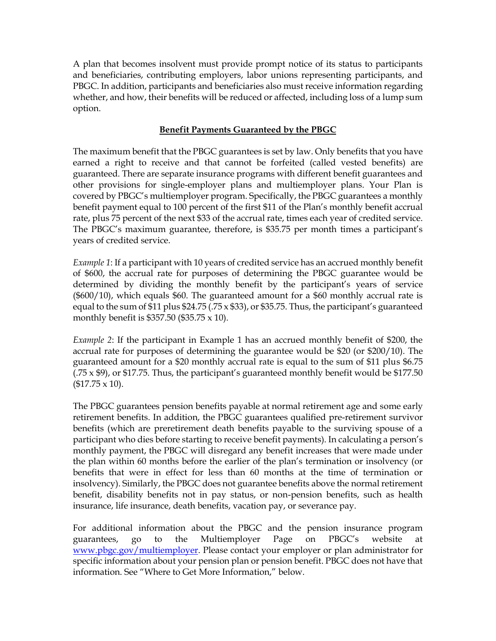A plan that becomes insolvent must provide prompt notice of its status to participants and beneficiaries, contributing employers, labor unions representing participants, and PBGC. In addition, participants and beneficiaries also must receive information regarding whether, and how, their benefits will be reduced or affected, including loss of a lump sum option.

## **Benefit Payments Guaranteed by the PBGC**

The maximum benefit that the PBGC guarantees is set by law. Only benefits that you have earned a right to receive and that cannot be forfeited (called vested benefits) are guaranteed. There are separate insurance programs with different benefit guarantees and other provisions for single-employer plans and multiemployer plans. Your Plan is covered by PBGC's multiemployer program. Specifically, the PBGC guarantees a monthly benefit payment equal to 100 percent of the first \$11 of the Plan's monthly benefit accrual rate, plus 75 percent of the next \$33 of the accrual rate, times each year of credited service. The PBGC's maximum guarantee, therefore, is \$35.75 per month times a participant's years of credited service.

*Example 1*: If a participant with 10 years of credited service has an accrued monthly benefit of \$600, the accrual rate for purposes of determining the PBGC guarantee would be determined by dividing the monthly benefit by the participant's years of service (\$600/10), which equals \$60. The guaranteed amount for a \$60 monthly accrual rate is equal to the sum of \$11 plus \$24.75 (.75  $\times$  \$33), or \$35.75. Thus, the participant's guaranteed monthly benefit is \$357.50 (\$35.75 x 10).

*Example 2*: If the participant in Example 1 has an accrued monthly benefit of \$200, the accrual rate for purposes of determining the guarantee would be \$20 (or \$200/10). The guaranteed amount for a \$20 monthly accrual rate is equal to the sum of \$11 plus \$6.75  $(.75 \times$  \$9), or \$17.75. Thus, the participant's guaranteed monthly benefit would be \$177.50  $($17.75 \times 10).$ 

The PBGC guarantees pension benefits payable at normal retirement age and some early retirement benefits. In addition, the PBGC guarantees qualified pre-retirement survivor benefits (which are preretirement death benefits payable to the surviving spouse of a participant who dies before starting to receive benefit payments). In calculating a person's monthly payment, the PBGC will disregard any benefit increases that were made under the plan within 60 months before the earlier of the plan's termination or insolvency (or benefits that were in effect for less than 60 months at the time of termination or insolvency). Similarly, the PBGC does not guarantee benefits above the normal retirement benefit, disability benefits not in pay status, or non-pension benefits, such as health insurance, life insurance, death benefits, vacation pay, or severance pay.

For additional information about the PBGC and the pension insurance program guarantees, go to the Multiemployer Page on PBGC's website at [www.pbgc.gov/multiemployer.](http://www.pbgc.gov/multiemployer) Please contact your employer or plan administrator for specific information about your pension plan or pension benefit. PBGC does not have that information. See "Where to Get More Information," below.